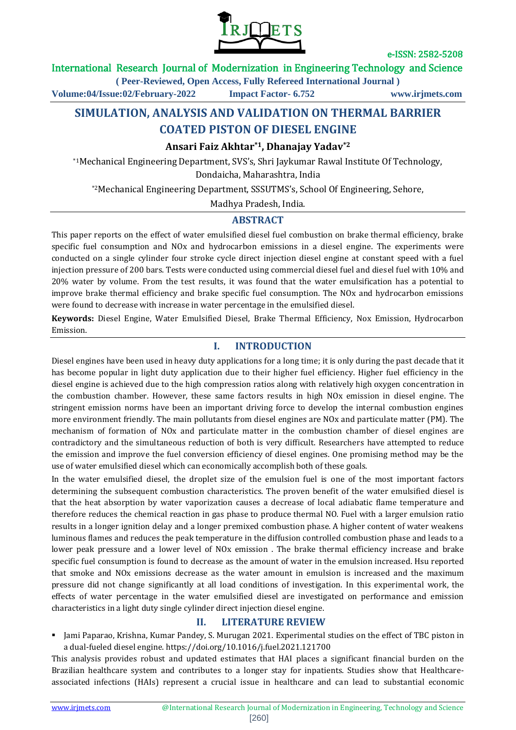

### International Research Journal of Modernization in Engineering Technology and Science

**( Peer-Reviewed, Open Access, Fully Refereed International Journal )**

**Volume:04/Issue:02/February-2022 Impact Factor- 6.752 www.irjmets.com**

# **SIMULATION, ANALYSIS AND VALIDATION ON THERMAL BARRIER COATED PISTON OF DIESEL ENGINE**

### **Ansari Faiz Akhtar\*1, Dhanajay Yadav\*2**

\*1Mechanical Engineering Department, SVS's, Shri Jaykumar Rawal Institute Of Technology, Dondaicha, Maharashtra, India

\*2Mechanical Engineering Department, SSSUTMS's, School Of Engineering, Sehore,

Madhya Pradesh, India.

### **ABSTRACT**

This paper reports on the effect of water emulsified diesel fuel combustion on brake thermal efficiency, brake specific fuel consumption and NOx and hydrocarbon emissions in a diesel engine. The experiments were conducted on a single cylinder four stroke cycle direct injection diesel engine at constant speed with a fuel injection pressure of 200 bars. Tests were conducted using commercial diesel fuel and diesel fuel with 10% and 20% water by volume. From the test results, it was found that the water emulsification has a potential to improve brake thermal efficiency and brake specific fuel consumption. The NOx and hydrocarbon emissions were found to decrease with increase in water percentage in the emulsified diesel.

**Keywords:** Diesel Engine, Water Emulsified Diesel, Brake Thermal Efficiency, Nox Emission, Hydrocarbon Emission.

## **I. INTRODUCTION**

Diesel engines have been used in heavy duty applications for a long time; it is only during the past decade that it has become popular in light duty application due to their higher fuel efficiency. Higher fuel efficiency in the diesel engine is achieved due to the high compression ratios along with relatively high oxygen concentration in the combustion chamber. However, these same factors results in high NOx emission in diesel engine. The stringent emission norms have been an important driving force to develop the internal combustion engines more environment friendly. The main pollutants from diesel engines are NOx and particulate matter (PM). The mechanism of formation of NOx and particulate matter in the combustion chamber of diesel engines are contradictory and the simultaneous reduction of both is very difficult. Researchers have attempted to reduce the emission and improve the fuel conversion efficiency of diesel engines. One promising method may be the use of water emulsified diesel which can economically accomplish both of these goals.

In the water emulsified diesel, the droplet size of the emulsion fuel is one of the most important factors determining the subsequent combustion characteristics. The proven benefit of the water emulsified diesel is that the heat absorption by water vaporization causes a decrease of local adiabatic flame temperature and therefore reduces the chemical reaction in gas phase to produce thermal NO. Fuel with a larger emulsion ratio results in a longer ignition delay and a longer premixed combustion phase. A higher content of water weakens luminous flames and reduces the peak temperature in the diffusion controlled combustion phase and leads to a lower peak pressure and a lower level of NOx emission . The brake thermal efficiency increase and brake specific fuel consumption is found to decrease as the amount of water in the emulsion increased. Hsu reported that smoke and NOx emissions decrease as the water amount in emulsion is increased and the maximum pressure did not change significantly at all load conditions of investigation. In this experimental work, the effects of water percentage in the water emulsified diesel are investigated on performance and emission characteristics in a light duty single cylinder direct injection diesel engine.

## **II. LITERATURE REVIEW**

 Jami Paparao, Krishna, Kumar Pandey, S. Murugan 2021. Experimental studies on the effect of TBC piston in a dual-fueled diesel engine. https://doi.org/10.1016/j.fuel.2021.121700

This analysis provides robust and updated estimates that HAI places a significant financial burden on the Brazilian healthcare system and contributes to a longer stay for inpatients. Studies show that Healthcareassociated infections (HAIs) represent a crucial issue in healthcare and can lead to substantial economic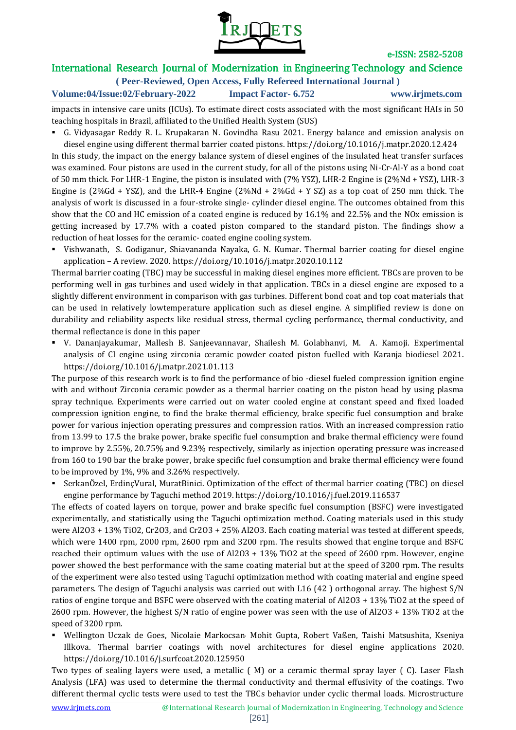

# International Research Journal of Modernization in Engineering Technology and Science

**( Peer-Reviewed, Open Access, Fully Refereed International Journal )**

**Volume:04/Issue:02/February-2022 Impact Factor- 6.752 www.irjmets.com**

impacts in intensive care units (ICUs). To estimate direct costs associated with the most significant HAIs in 50 teaching hospitals in Brazil, affiliated to the Unified Health System (SUS)

 G. Vidyasagar Reddy R. L. Krupakaran N. Govindha Rasu 2021. Energy balance and emission analysis on diesel engine using different thermal barrier coated pistons. https://doi.org/10.1016/j.matpr.2020.12.424

In this study, the impact on the energy balance system of diesel engines of the insulated heat transfer surfaces was examined. Four pistons are used in the current study, for all of the pistons using Ni-Cr-Al-Y as a bond coat of 50 mm thick. For LHR-1 Engine, the piston is insulated with (7% YSZ), LHR-2 Engine is (2%Nd + YSZ), LHR-3 Engine is (2%Gd + YSZ), and the LHR-4 Engine (2%Nd + 2%Gd + Y SZ) as a top coat of 250 mm thick. The analysis of work is discussed in a four-stroke single- cylinder diesel engine. The outcomes obtained from this show that the CO and HC emission of a coated engine is reduced by 16.1% and 22.5% and the NOx emission is getting increased by 17.7% with a coated piston compared to the standard piston. The findings show a reduction of heat losses for the ceramic- coated engine cooling system.

 Vishwanath, S. Godiganur, Shiavananda Nayaka, G. N. Kumar. Thermal barrier coating for diesel engine application – A review. 2020. https://doi.org/10.1016/j.matpr.2020.10.112

Thermal barrier coating (TBC) may be successful in making diesel engines more efficient. TBCs are proven to be performing well in gas turbines and used widely in that application. TBCs in a diesel engine are exposed to a slightly different environment in comparison with gas turbines. Different bond coat and top coat materials that can be used in relatively lowtemperature application such as diesel engine. A simplified review is done on durability and reliability aspects like residual stress, thermal cycling performance, thermal conductivity, and thermal reflectance is done in this paper

 V. Dananjayakumar, Mallesh B. Sanjeevannavar, Shailesh M. Golabhanvi, M. A. Kamoji. Experimental analysis of CI engine using zirconia ceramic powder coated piston fuelled with Karanja biodiesel 2021. https://doi.org/10.1016/j.matpr.2021.01.113

The purpose of this research work is to find the performance of bio -diesel fueled compression ignition engine with and without Zirconia ceramic powder as a thermal barrier coating on the piston head by using plasma spray technique. Experiments were carried out on water cooled engine at constant speed and fixed loaded compression ignition engine, to find the brake thermal efficiency, brake specific fuel consumption and brake power for various injection operating pressures and compression ratios. With an increased compression ratio from 13.99 to 17.5 the brake power, brake specific fuel consumption and brake thermal efficiency were found to improve by 2.55%, 20.75% and 9.23% respectively, similarly as injection operating pressure was increased from 160 to 190 bar the brake power, brake specific fuel consumption and brake thermal efficiency were found to be improved by 1%, 9% and 3.26% respectively.

 SerkanÖzel, ErdinçVural, MuratBinici. Optimization of the effect of thermal barrier coating (TBC) on diesel engine performance by Taguchi method 2019. https://doi.org/10.1016/j.fuel.2019.116537

The effects of coated layers on torque, power and brake specific fuel consumption (BSFC) were investigated experimentally, and statistically using the Taguchi optimization method. Coating materials used in this study were Al2O3 + 13% TiO2, Cr2O3, and Cr2O3 + 25% Al2O3. Each coating material was tested at different speeds, which were 1400 rpm, 2000 rpm, 2600 rpm and 3200 rpm. The results showed that engine torque and BSFC reached their optimum values with the use of Al2O3 + 13% TiO2 at the speed of 2600 rpm. However, engine power showed the best performance with the same coating material but at the speed of 3200 rpm. The results of the experiment were also tested using Taguchi optimization method with coating material and engine speed parameters. The design of Taguchi analysis was carried out with L16 (42 ) orthogonal array. The highest S/N ratios of engine torque and BSFC were observed with the coating material of Al2O3 + 13% TiO2 at the speed of 2600 rpm. However, the highest S/N ratio of engine power was seen with the use of Al2O3 + 13% TiO2 at the speed of 3200 rpm.

 Wellington Uczak de Goes, Nicolaie Markocsan, Mohit Gupta, Robert Vaßen, Taishi Matsushita, Kseniya Illkova. Thermal barrier coatings with novel architectures for diesel engine applications 2020. https://doi.org/10.1016/j.surfcoat.2020.125950

Two types of sealing layers were used, a metallic ( M) or a ceramic thermal spray layer ( C). Laser Flash Analysis (LFA) was used to determine the thermal conductivity and thermal effusivity of the coatings. Two different thermal cyclic tests were used to test the TBCs behavior under cyclic thermal loads. Microstructure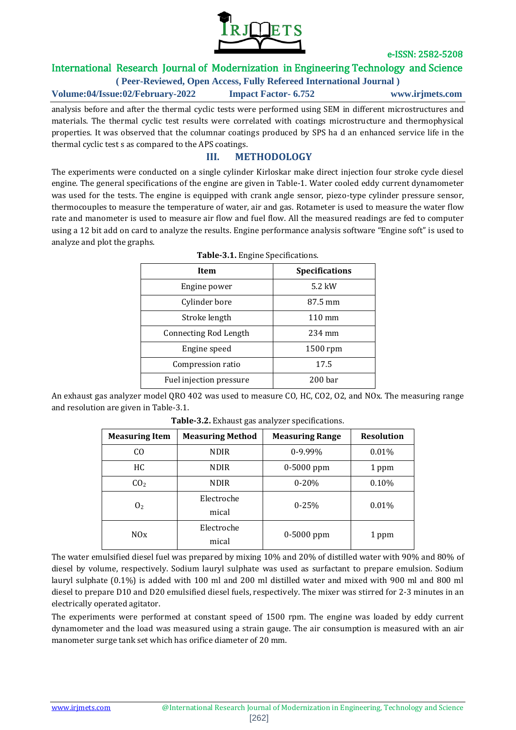

# International Research Journal of Modernization in Engineering Technology and Science

### **( Peer-Reviewed, Open Access, Fully Refereed International Journal )**

#### **Volume:04/Issue:02/February-2022 Impact Factor- 6.752 www.irjmets.com**

analysis before and after the thermal cyclic tests were performed using SEM in different microstructures and materials. The thermal cyclic test results were correlated with coatings microstructure and thermophysical properties. It was observed that the columnar coatings produced by SPS ha d an enhanced service life in the thermal cyclic test s as compared to the APS coatings.

## **III. METHODOLOGY**

The experiments were conducted on a single cylinder Kirloskar make direct injection four stroke cycle diesel engine. The general specifications of the engine are given in Table-1. Water cooled eddy current dynamometer was used for the tests. The engine is equipped with crank angle sensor, piezo-type cylinder pressure sensor, thermocouples to measure the temperature of water, air and gas. Rotameter is used to measure the water flow rate and manometer is used to measure air flow and fuel flow. All the measured readings are fed to computer using a 12 bit add on card to analyze the results. Engine performance analysis software "Engine soft" is used to analyze and plot the graphs.

| <b>Item</b>                  | <b>Specifications</b> |
|------------------------------|-----------------------|
| Engine power                 | $5.2$ kW              |
| Cylinder bore                | 87.5 mm               |
| Stroke length                | $110 \text{ mm}$      |
| <b>Connecting Rod Length</b> | 234 mm                |
| Engine speed                 | 1500 rpm              |
| Compression ratio            | 17.5                  |
| Fuel injection pressure      | 200 <sub>bar</sub>    |

|  | Table-3.1. Engine Specifications. |
|--|-----------------------------------|
|  |                                   |

An exhaust gas analyzer model QRO 402 was used to measure CO, HC, CO2, O2, and NOx. The measuring range and resolution are given in Table-3.1.

| <b>Measuring Item</b> | <b>Measuring Method</b> | <b>Measuring Range</b> | <b>Resolution</b> |
|-----------------------|-------------------------|------------------------|-------------------|
| C <sub>O</sub>        | <b>NDIR</b>             | $0-9.99%$              | 0.01%             |
| HC.                   | <b>NDIR</b>             | $0-5000$ ppm           | 1 ppm             |
| CO <sub>2</sub>       | <b>NDIR</b>             | $0 - 20%$              | 0.10%             |
| 0 <sub>2</sub>        | Electroche<br>mical     | $0 - 25%$              | 0.01%             |
| N0x                   | Electroche<br>mical     | $0-5000$ ppm           | 1 ppm             |

**Table-3.2.** Exhaust gas analyzer specifications.

The water emulsified diesel fuel was prepared by mixing 10% and 20% of distilled water with 90% and 80% of diesel by volume, respectively. Sodium lauryl sulphate was used as surfactant to prepare emulsion. Sodium lauryl sulphate (0.1%) is added with 100 ml and 200 ml distilled water and mixed with 900 ml and 800 ml diesel to prepare D10 and D20 emulsified diesel fuels, respectively. The mixer was stirred for 2-3 minutes in an electrically operated agitator.

The experiments were performed at constant speed of 1500 rpm. The engine was loaded by eddy current dynamometer and the load was measured using a strain gauge. The air consumption is measured with an air manometer surge tank set which has orifice diameter of 20 mm.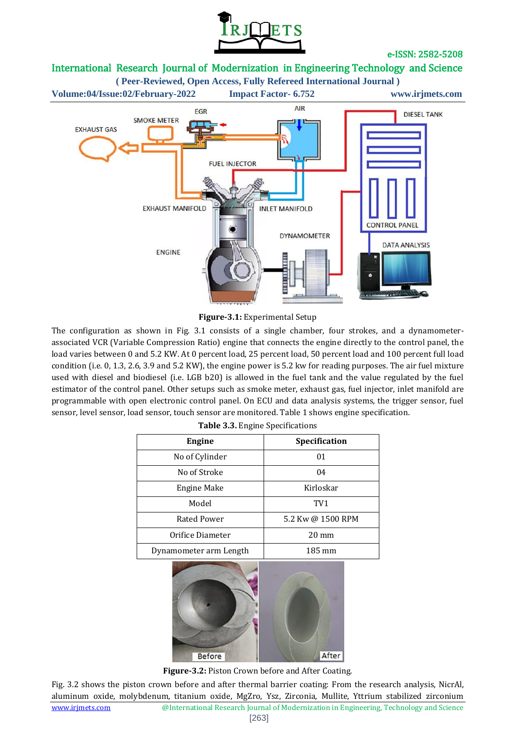

# International Research Journal of Modernization in Engineering Technology and Science



#### **Figure-3.1:** Experimental Setup

The configuration as shown in Fig. 3.1 consists of a single chamber, four strokes, and a dynamometerassociated VCR (Variable Compression Ratio) engine that connects the engine directly to the control panel, the load varies between 0 and 5.2 KW. At 0 percent load, 25 percent load, 50 percent load and 100 percent full load condition (i.e. 0, 1.3, 2.6, 3.9 and 5.2 KW), the engine power is 5.2 kw for reading purposes. The air fuel mixture used with diesel and biodiesel (i.e. LGB b20) is allowed in the fuel tank and the value regulated by the fuel estimator of the control panel. Other setups such as smoke meter, exhaust gas, fuel injector, inlet manifold are programmable with open electronic control panel. On ECU and data analysis systems, the trigger sensor, fuel sensor, level sensor, load sensor, touch sensor are monitored. Table 1 shows engine specification.

| <b>Engine</b>          | Specification     |  |  |  |
|------------------------|-------------------|--|--|--|
| No of Cylinder         | 01                |  |  |  |
| No of Stroke           | 04                |  |  |  |
| Engine Make            | Kirloskar         |  |  |  |
| Model                  | TV <sub>1</sub>   |  |  |  |
| Rated Power            | 5.2 Kw @ 1500 RPM |  |  |  |
| Orifice Diameter       | $20 \text{ mm}$   |  |  |  |
| Dynamometer arm Length | 185 mm            |  |  |  |
|                        |                   |  |  |  |

| Table 3.3. Engine Specifications |  |
|----------------------------------|--|
|----------------------------------|--|



**Figure-3.2:** Piston Crown before and After Coating.

Fig. 3.2 shows the piston crown before and after thermal barrier coating: From the research analysis, NicrAl, aluminum oxide, molybdenum, titanium oxide, MgZro, Ysz, Zirconia, Mullite, Yttrium stabilized zirconium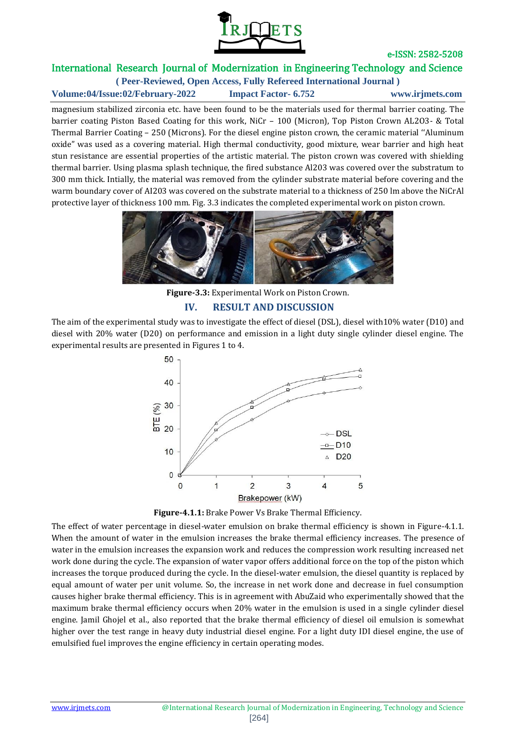

# International Research Journal of Modernization in Engineering Technology and Science

**( Peer-Reviewed, Open Access, Fully Refereed International Journal ) Volume:04/Issue:02/February-2022 Impact Factor- 6.752 www.irjmets.com**

magnesium stabilized zirconia etc. have been found to be the materials used for thermal barrier coating. The barrier coating Piston Based Coating for this work, NiCr – 100 (Micron), Top Piston Crown AL2O3- & Total Thermal Barrier Coating – 250 (Microns). For the diesel engine piston crown, the ceramic material ''Aluminum oxide" was used as a covering material. High thermal conductivity, good mixture, wear barrier and high heat stun resistance are essential properties of the artistic material. The piston crown was covered with shielding thermal barrier. Using plasma splash technique, the fired substance Al203 was covered over the substratum to 300 mm thick. Intially, the material was removed from the cylinder substrate material before covering and the warm boundary cover of AI203 was covered on the substrate material to a thickness of 250 lm above the NiCrAl protective layer of thickness 100 mm. Fig. 3.3 indicates the completed experimental work on piston crown.



**Figure-3.3:** Experimental Work on Piston Crown. **IV. RESULT AND DISCUSSION**

The aim of the experimental study was to investigate the effect of diesel (DSL), diesel with10% water (D10) and diesel with 20% water (D20) on performance and emission in a light duty single cylinder diesel engine. The experimental results are presented in Figures 1 to 4.





The effect of water percentage in diesel-water emulsion on brake thermal efficiency is shown in Figure-4.1.1. When the amount of water in the emulsion increases the brake thermal efficiency increases. The presence of water in the emulsion increases the expansion work and reduces the compression work resulting increased net work done during the cycle. The expansion of water vapor offers additional force on the top of the piston which increases the torque produced during the cycle. In the diesel-water emulsion, the diesel quantity is replaced by equal amount of water per unit volume. So, the increase in net work done and decrease in fuel consumption causes higher brake thermal efficiency. This is in agreement with AbuZaid who experimentally showed that the maximum brake thermal efficiency occurs when 20% water in the emulsion is used in a single cylinder diesel engine. Jamil Ghojel et al., also reported that the brake thermal efficiency of diesel oil emulsion is somewhat higher over the test range in heavy duty industrial diesel engine. For a light duty IDI diesel engine, the use of emulsified fuel improves the engine efficiency in certain operating modes.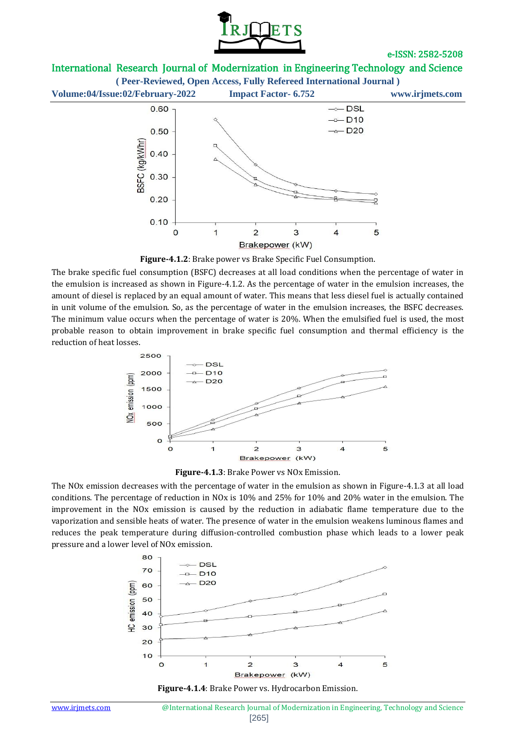

# International Research Journal of Modernization in Engineering Technology and Science

**( Peer-Reviewed, Open Access, Fully Refereed International Journal )**



**Figure-4.1.2**: Brake power vs Brake Specific Fuel Consumption.

The brake specific fuel consumption (BSFC) decreases at all load conditions when the percentage of water in the emulsion is increased as shown in Figure-4.1.2. As the percentage of water in the emulsion increases, the amount of diesel is replaced by an equal amount of water. This means that less diesel fuel is actually contained in unit volume of the emulsion. So, as the percentage of water in the emulsion increases, the BSFC decreases. The minimum value occurs when the percentage of water is 20%. When the emulsified fuel is used, the most probable reason to obtain improvement in brake specific fuel consumption and thermal efficiency is the reduction of heat losses.



**Figure-4.1.3**: Brake Power vs NOx Emission.

The NOx emission decreases with the percentage of water in the emulsion as shown in Figure-4.1.3 at all load conditions. The percentage of reduction in NOx is 10% and 25% for 10% and 20% water in the emulsion. The improvement in the NOx emission is caused by the reduction in adiabatic flame temperature due to the vaporization and sensible heats of water. The presence of water in the emulsion weakens luminous flames and reduces the peak temperature during diffusion-controlled combustion phase which leads to a lower peak pressure and a lower level of NOx emission.



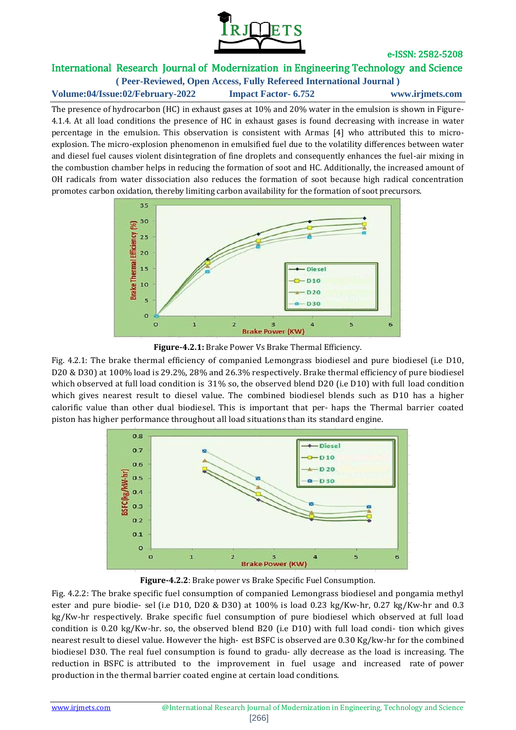

# International Research Journal of Modernization in Engineering Technology and Science

**( Peer-Reviewed, Open Access, Fully Refereed International Journal ) Volume:04/Issue:02/February-2022 Impact Factor- 6.752 www.irjmets.com**

The presence of hydrocarbon (HC) in exhaust gases at 10% and 20% water in the emulsion is shown in Figure-4.1.4. At all load conditions the presence of HC in exhaust gases is found decreasing with increase in water percentage in the emulsion. This observation is consistent with Armas [4] who attributed this to microexplosion. The micro-explosion phenomenon in emulsified fuel due to the volatility differences between water and diesel fuel causes violent disintegration of fine droplets and consequently enhances the fuel-air mixing in the combustion chamber helps in reducing the formation of soot and HC. Additionally, the increased amount of OH radicals from water dissociation also reduces the formation of soot because high radical concentration promotes carbon oxidation, thereby limiting carbon availability for the formation of soot precursors.



**Figure-4.2.1:** Brake Power Vs Brake Thermal Efficiency.

Fig. 4.2.1: The brake thermal efficiency of companied Lemongrass biodiesel and pure biodiesel (i.e D10, D20 & D30) at 100% load is 29.2%, 28% and 26.3% respectively. Brake thermal efficiency of pure biodiesel which observed at full load condition is 31% so, the observed blend D20 (i.e D10) with full load condition which gives nearest result to diesel value. The combined biodiesel blends such as D10 has a higher calorific value than other dual biodiesel. This is important that per- haps the Thermal barrier coated piston has higher performance throughout all load situations than its standard engine.



**Figure-4.2.2**: Brake power vs Brake Specific Fuel Consumption.

Fig. 4.2.2: The brake specific fuel consumption of companied Lemongrass biodiesel and pongamia methyl ester and pure biodie- sel (i.e D10, D20 & D30) at 100% is load 0.23 kg/Kw-hr, 0.27 kg/Kw-hr and 0.3 kg/Kw-hr respectively. Brake specific fuel consumption of pure biodiesel which observed at full load condition is 0.20 kg/Kw-hr. so, the observed blend B20 (i.e D10) with full load condi- tion which gives nearest result to diesel value. However the high- est BSFC is observed are 0.30 Kg/kw-hr for the combined biodiesel D30. The real fuel consumption is found to gradu- ally decrease as the load is increasing. The reduction in BSFC is attributed to the improvement in fuel usage and increased rate of power production in the thermal barrier coated engine at certain load conditions.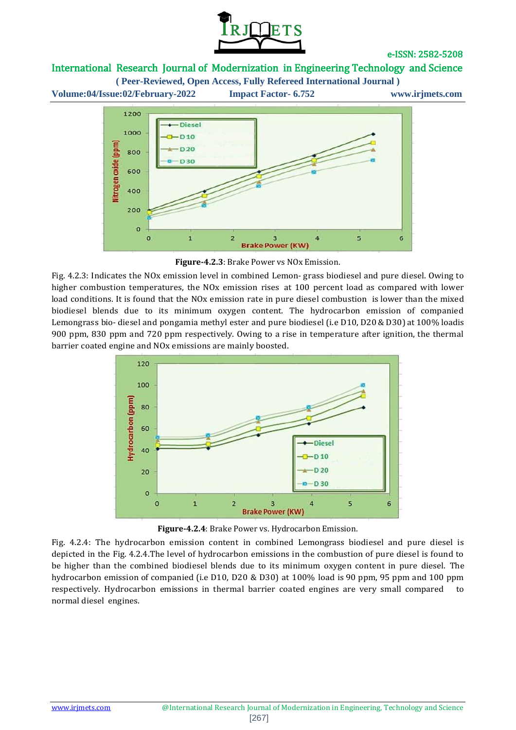

# International Research Journal of Modernization in Engineering Technology and Science

**( Peer-Reviewed, Open Access, Fully Refereed International Journal )**

**Volume:04/Issue:02/February-2022 Impact Factor- 6.752 www.irjmets.com** 1200



**Figure-4.2.3**: Brake Power vs NOx Emission.

Fig. 4.2.3: Indicates the NOx emission level in combined Lemon- grass biodiesel and pure diesel. Owing to higher combustion temperatures, the NOx emission rises at 100 percent load as compared with lower load conditions. It is found that the NOx emission rate in pure diesel combustion is lower than the mixed biodiesel blends due to its minimum oxygen content. The hydrocarbon emission of companied Lemongrass bio- diesel and pongamia methyl ester and pure biodiesel (i.e D10, D20 & D30) at 100% loadis 900 ppm, 830 ppm and 720 ppm respectively. Owing to a rise in temperature after ignition, the thermal barrier coated engine and NOx emissions are mainly boosted.



**Figure-4.2.4**: Brake Power vs. Hydrocarbon Emission.

Fig. 4.2.4: The hydrocarbon emission content in combined Lemongrass biodiesel and pure diesel is depicted in the Fig. 4.2.4.The level of hydrocarbon emissions in the combustion of pure diesel is found to be higher than the combined biodiesel blends due to its minimum oxygen content in pure diesel. The hydrocarbon emission of companied (i.e D10, D20 & D30) at 100% load is 90 ppm, 95 ppm and 100 ppm respectively. Hydrocarbon emissions in thermal barrier coated engines are very small compared to normal diesel engines.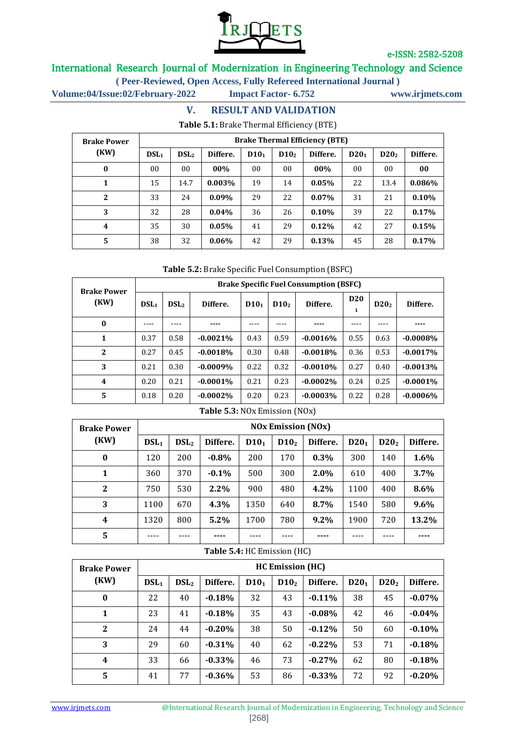

# International Research Journal of Modernization in Engineering Technology and Science

**( Peer-Reviewed, Open Access, Fully Refereed International Journal )**

**Volume:04/Issue:02/February-2022 Impact Factor- 6.752 www.irjmets.com**

## **V. RESULT AND VALIDATION Table 5.1:** Brake Thermal Efficiency (BTE)

| <b>Brake Power</b> | <b>Brake Thermal Efficiency (BTE)</b> |                  |          |                  |                  |          |                  |                  |          |
|--------------------|---------------------------------------|------------------|----------|------------------|------------------|----------|------------------|------------------|----------|
| (KW)               | DSL <sub>1</sub>                      | DSL <sub>2</sub> | Differe. | D10 <sub>1</sub> | D10 <sub>2</sub> | Differe. | D20 <sub>1</sub> | D20 <sub>2</sub> | Differe. |
| $\bf{0}$           | 00                                    | 00               | $00\%$   | 00               | 00               | 00%      | 00               | 00               | 00       |
| 1                  | 15                                    | 14.7             | 0.003%   | 19               | 14               | 0.05%    | 22               | 13.4             | 0.086%   |
| $\overline{2}$     | 33                                    | 24               | $0.09\%$ | 29               | 22               | $0.07\%$ | 31               | 21               | 0.10%    |
| 3                  | 32                                    | 28               | $0.04\%$ | 36               | 26               | $0.10\%$ | 39               | 22               | 0.17%    |
| 4                  | 35                                    | 30               | $0.05\%$ | 41               | 29               | 0.12%    | 42               | 27               | 0.15%    |
| 5                  | 38                                    | 32               | $0.06\%$ | 42               | 29               | 0.13%    | 45               | 28               | 0.17%    |

### **Table 5.2:** Brake Specific Fuel Consumption (BSFC)

| <b>Brake Power</b> | <b>Brake Specific Fuel Consumption (BSFC)</b> |                  |             |                  |                  |            |                 |                  |             |  |
|--------------------|-----------------------------------------------|------------------|-------------|------------------|------------------|------------|-----------------|------------------|-------------|--|
| (KW)               | DSL <sub>1</sub>                              | DSL <sub>2</sub> | Differe.    | D10 <sub>1</sub> | D10 <sub>2</sub> | Differe.   | <b>D20</b><br>1 | D20 <sub>2</sub> | Differe.    |  |
| $\bf{0}$           |                                               |                  |             |                  |                  |            |                 |                  |             |  |
| 1                  | 0.37                                          | 0.58             | $-0.0021%$  | 0.43             | 0.59             | $-0.0016%$ | 0.55            | 0.63             | $-0.0008%$  |  |
| 2                  | 0.27                                          | 0.45             | $-0.0018%$  | 0.30             | 0.48             | $-0.0018%$ | 0.36            | 0.53             | $-0.0017%$  |  |
| 3                  | 0.21                                          | 0.30             | $-0.0009%$  | 0.22             | 0.32             | $-0.0010%$ | 0.27            | 0.40             | $-0.0013%$  |  |
| 4                  | 0.20                                          | 0.21             | $-0.0001\%$ | 0.21             | 0.23             | $-0.0002%$ | 0.24            | 0.25             | $-0.0001\%$ |  |
| 5                  | 0.18                                          | 0.20             | $-0.0002%$  | 0.20             | 0.23             | $-0.0003%$ | 0.22            | 0.28             | $-0.0006\%$ |  |

#### **Table 5.3:** NOx Emission (NOx)

| <b>Brake Power</b> | <b>NOx Emission (NOx)</b> |                  |          |                  |                  |          |                  |                  |          |
|--------------------|---------------------------|------------------|----------|------------------|------------------|----------|------------------|------------------|----------|
| (KW)               | $DSL_1$                   | DSL <sub>2</sub> | Differe. | D10 <sub>1</sub> | D10 <sub>2</sub> | Differe. | D20 <sub>1</sub> | D20 <sub>2</sub> | Differe. |
| $\bf{0}$           | 120                       | 200              | $-0.8%$  | 200              | 170              | $0.3\%$  | 300              | 140              | 1.6%     |
| 1                  | 360                       | 370              | $-0.1%$  | 500              | 300              | 2.0%     | 610              | 400              | 3.7%     |
| $\mathbf{2}$       | 750                       | 530              | 2.2%     | 900              | 480              | 4.2%     | 1100             | 400              | 8.6%     |
| 3                  | 1100                      | 670              | 4.3%     | 1350             | 640              | 8.7%     | 1540             | 580              | 9.6%     |
| 4                  | 1320                      | 800              | $5.2\%$  | 1700             | 780              | $9.2\%$  | 1900             | 720              | 13.2%    |
| 5                  |                           |                  |          |                  |                  | ----     |                  |                  |          |

### **Table 5.4:** HC Emission (HC)

| <b>Brake Power</b>      | <b>HC Emission (HC)</b> |                  |           |                  |                  |          |         |                  |           |
|-------------------------|-------------------------|------------------|-----------|------------------|------------------|----------|---------|------------------|-----------|
| (KW)                    | $DSL_1$                 | DSL <sub>2</sub> | Differe.  | D10 <sub>1</sub> | D10 <sub>2</sub> | Differe. | $D20_1$ | D20 <sub>2</sub> | Differe.  |
| $\bf{0}$                | 22                      | 40               | $-0.18%$  | 32               | 43               | $-0.11%$ | 38      | 45               | $-0.07%$  |
| $\mathbf{1}$            | 23                      | 41               | $-0.18%$  | 35               | 43               | $-0.08%$ | 42      | 46               | $-0.04\%$ |
| 2                       | 24                      | 44               | $-0.20%$  | 38               | 50               | $-0.12%$ | 50      | 60               | $-0.10%$  |
| 3                       | 29                      | 60               | $-0.31%$  | 40               | 62               | $-0.22%$ | 53      | 71               | $-0.18%$  |
| $\overline{\mathbf{4}}$ | 33                      | 66               | $-0.33\%$ | 46               | 73               | $-0.27%$ | 62      | 80               | $-0.18%$  |
| 5                       | 41                      | 77               | $-0.36%$  | 53               | 86               | $-0.33%$ | 72      | 92               | $-0.20%$  |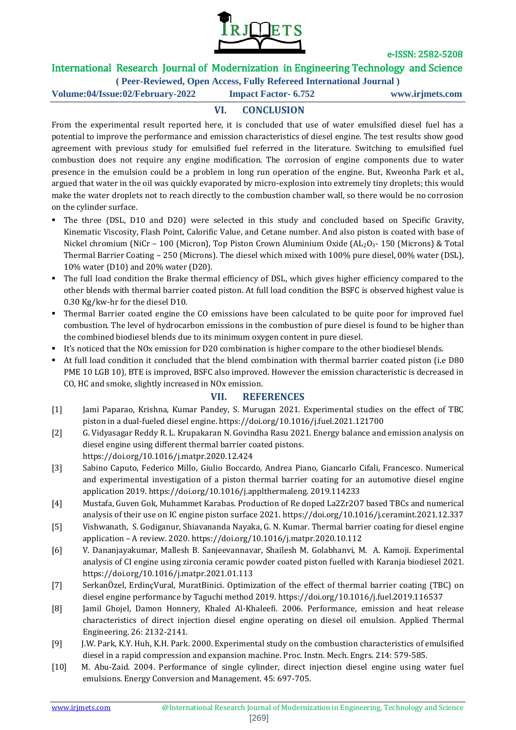

# International Research Journal of Modernization in Engineering Technology and Science

**( Peer-Reviewed, Open Access, Fully Refereed International Journal )**

**Volume:04/Issue:02/February-2022 Impact Factor- 6.752 www.irjmets.com**

# **VI. CONCLUSION**

From the experimental result reported here, it is concluded that use of water emulsified diesel fuel has a potential to improve the performance and emission characteristics of diesel engine. The test results show good agreement with previous study for emulsified fuel referred in the literature. Switching to emulsified fuel combustion does not require any engine modification. The corrosion of engine components due to water presence in the emulsion could be a problem in long run operation of the engine. But, Kweonha Park et al., argued that water in the oil was quickly evaporated by micro-explosion into extremely tiny droplets; this would make the water droplets not to reach directly to the combustion chamber wall, so there would be no corrosion on the cylinder surface.

- The three (DSL, D10 and D20) were selected in this study and concluded based on Specific Gravity, Kinematic Viscosity, Flash Point, Calorific Value, and Cetane number. And also piston is coated with base of Nickel chromium (NiCr – 100 (Micron), Top Piston Crown Aluminium Oxide (AL<sub>2</sub>O<sub>3</sub>- 150 (Microns) & Total Thermal Barrier Coating – 250 (Microns). The diesel which mixed with 100% pure diesel, 00% water (DSL), 10% water (D10) and 20% water (D20).
- The full load condition the Brake thermal efficiency of DSL, which gives higher efficiency compared to the other blends with thermal barrier coated piston. At full load condition the BSFC is observed highest value is 0.30 Kg/kw-hr for the diesel D10.
- Thermal Barrier coated engine the CO emissions have been calculated to be quite poor for improved fuel combustion. The level of hydrocarbon emissions in the combustion of pure diesel is found to be higher than the combined biodiesel blends due to its minimum oxygen content in pure diesel.
- It's noticed that the NOx emission for D20 combination is higher compare to the other biodiesel blends.
- At full load condition it concluded that the blend combination with thermal barrier coated piston (i.e D80 PME 10 LGB 10), BTE is improved, BSFC also improved. However the emission characteristic is decreased in CO, HC and smoke, slightly increased in NOx emission.

## **VII. REFERENCES**

- [1] Jami Paparao, Krishna, Kumar Pandey, S. Murugan 2021. Experimental studies on the effect of TBC piston in a dual-fueled diesel engine. https://doi.org/10.1016/j.fuel.2021.121700
- [2] G. Vidyasagar Reddy R. L. Krupakaran N. Govindha Rasu 2021. Energy balance and emission analysis on diesel engine using different thermal barrier coated pistons. https://doi.org/10.1016/j.matpr.2020.12.424

[3] Sabino Caputo, Federico Millo, Giulio Boccardo, Andrea Piano, Giancarlo Cifali, Francesco. Numerical

- and experimental investigation of a piston thermal barrier coating for an automotive diesel engine application 2019. https://doi.org/10.1016/j.applthermaleng. 2019.114233
- [4] Mustafa, Guven Gok, Muhammet Karabas. Production of Re doped La2Zr2O7 based TBCs and numerical analysis of their use on IC engine piston surface 2021. https://doi.org/10.1016/j.ceramint.2021.12.337
- [5] Vishwanath, S. Godiganur, Shiavananda Nayaka, G. N. Kumar. Thermal barrier coating for diesel engine application – A review. 2020. https://doi.org/10.1016/j.matpr.2020.10.112
- [6] V. Dananjayakumar, Mallesh B. Sanjeevannavar, Shailesh M. Golabhanvi, M. A. Kamoji. Experimental analysis of CI engine using zirconia ceramic powder coated piston fuelled with Karanja biodiesel 2021. https://doi.org/10.1016/j.matpr.2021.01.113
- [7] SerkanÖzel, ErdinçVural, MuratBinici. Optimization of the effect of thermal barrier coating (TBC) on diesel engine performance by Taguchi method 2019. https://doi.org/10.1016/j.fuel.2019.116537
- [8] Jamil Ghojel, Damon Honnery, Khaled Al-Khaleefi. 2006. Performance, emission and heat release characteristics of direct injection diesel engine operating on diesel oil emulsion. Applied Thermal Engineering. 26: 2132-2141.
- [9] J.W. Park, K.Y. Huh, K.H. Park. 2000. Experimental study on the combustion characteristics of emulsified diesel in a rapid compression and expansion machine. Proc. Instn. Mech. Engrs. 214: 579-585.
- [10] M. Abu-Zaid. 2004. Performance of single cylinder, direct injection diesel engine using water fuel emulsions. Energy Conversion and Management. 45: 697-705.